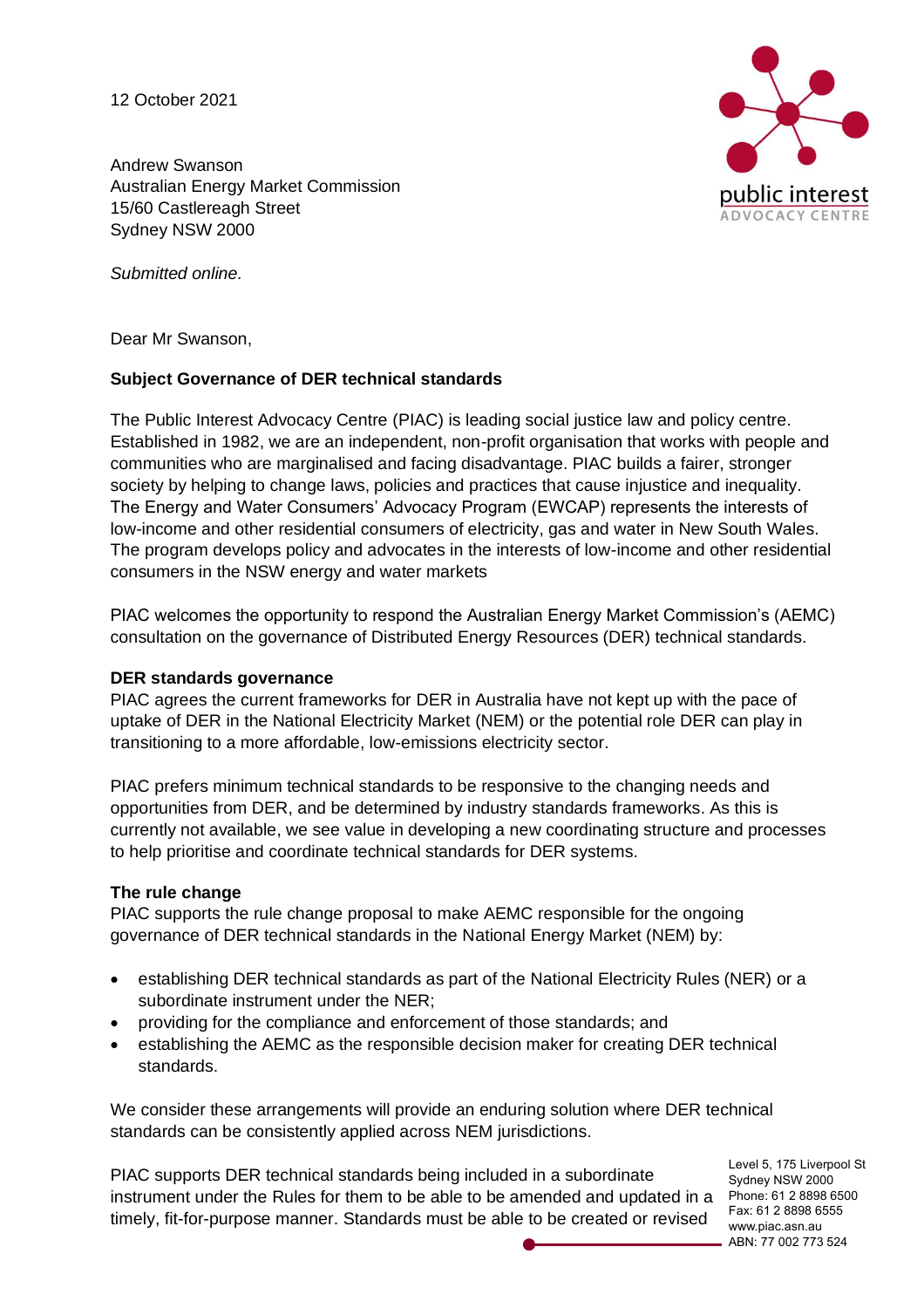12 October 2021

blic interest ADVOCACY CENTRE

Andrew Swanson Australian Energy Market Commission 15/60 Castlereagh Street Sydney NSW 2000

*Submitted online.*

Dear Mr Swanson,

## **Subject Governance of DER technical standards**

The Public Interest Advocacy Centre (PIAC) is leading social justice law and policy centre. Established in 1982, we are an independent, non-profit organisation that works with people and communities who are marginalised and facing disadvantage. PIAC builds a fairer, stronger society by helping to change laws, policies and practices that cause injustice and inequality. The Energy and Water Consumers' Advocacy Program (EWCAP) represents the interests of low-income and other residential consumers of electricity, gas and water in New South Wales. The program develops policy and advocates in the interests of low-income and other residential consumers in the NSW energy and water markets

PIAC welcomes the opportunity to respond the Australian Energy Market Commission's (AEMC) consultation on the governance of Distributed Energy Resources (DER) technical standards.

## **DER standards governance**

PIAC agrees the current frameworks for DER in Australia have not kept up with the pace of uptake of DER in the National Electricity Market (NEM) or the potential role DER can play in transitioning to a more affordable, low-emissions electricity sector.

PIAC prefers minimum technical standards to be responsive to the changing needs and opportunities from DER, and be determined by industry standards frameworks. As this is currently not available, we see value in developing a new coordinating structure and processes to help prioritise and coordinate technical standards for DER systems.

## **The rule change**

PIAC supports the rule change proposal to make AEMC responsible for the ongoing governance of DER technical standards in the National Energy Market (NEM) by:

- establishing DER technical standards as part of the National Electricity Rules (NER) or a subordinate instrument under the NER;
- providing for the compliance and enforcement of those standards; and
- establishing the AEMC as the responsible decision maker for creating DER technical standards.

We consider these arrangements will provide an enduring solution where DER technical standards can be consistently applied across NEM jurisdictions.

instrument under the Rules for them to be able to be amended and updated in a Phone: 61 2 8898 6500 PIAC supports DER technical standards being included in a subordinate timely, fit-for-purpose manner. Standards must be able to be created or revised

Level 5, 175 Liverpool St Sydney NSW 2000 Fax: 61 2 8898 6555 www.piac.asn.au ABN: 77 002 773 524